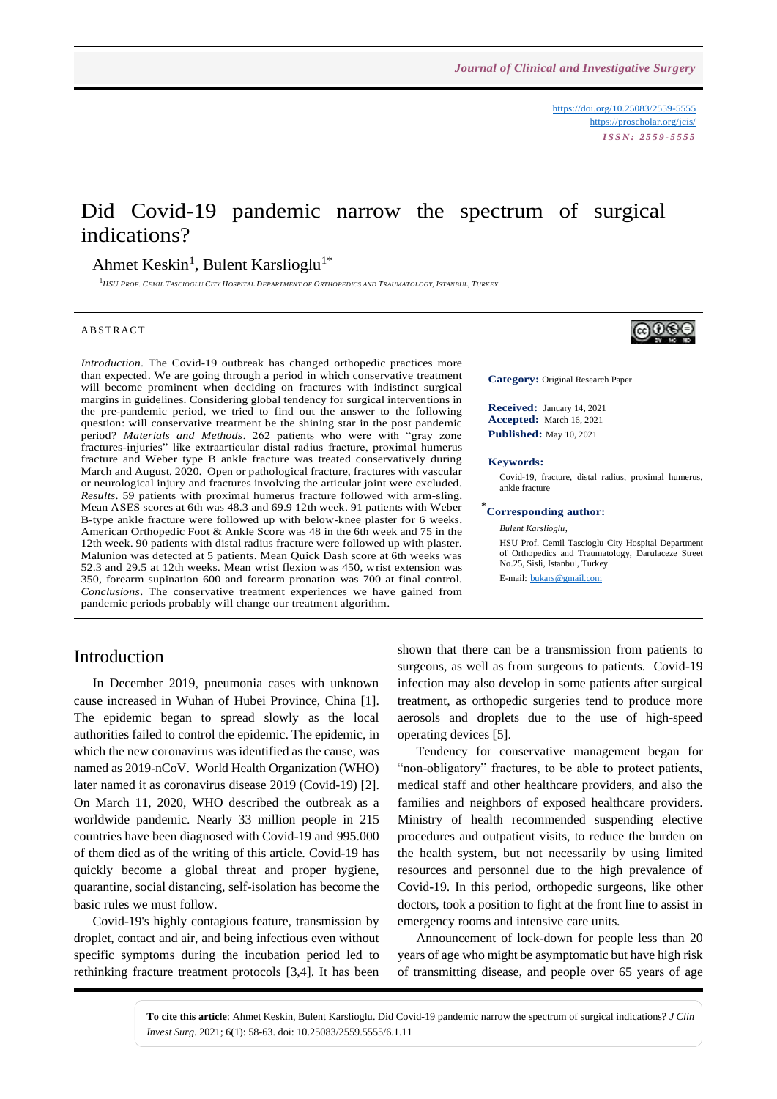<https://doi.org/10.25083/2559-5555> <https://proscholar.org/jcis/> *I S S N : 2 5 5 9 - 5 5 5 5*

# Did Covid-19 pandemic narrow the spectrum of surgical indications?

## Ahmet Keskin<sup>1</sup>, Bulent Karslioglu<sup>1\*</sup>

<sup>1</sup>HSU PROE. CEMIL TASCIOGLU CITY HOSPITAL DEPARTMENT OF ORTHOPEDICS AND TRAUMATOLOGY. ISTANBUL. TURKEY

#### **ABSTRACT**

*Introduction*. The Covid-19 outbreak has changed orthopedic practices more than expected. We are going through a period in which conservative treatment will become prominent when deciding on fractures with indistinct surgical margins in guidelines. Considering global tendency for surgical interventions in the pre-pandemic period, we tried to find out the answer to the following question: will conservative treatment be the shining star in the post pandemic period? *Materials and Methods*. 262 patients who were with "gray zone fractures-injuries" like extraarticular distal radius fracture, proximal humerus fracture and Weber type B ankle fracture was treated conservatively during March and August, 2020. Open or pathological fracture, fractures with vascular or neurological injury and fractures involving the articular joint were excluded. *Results*. 59 patients with proximal humerus fracture followed with arm-sling. Mean ASES scores at 6th was 48.3 and 69.9 12th week. 91 patients with Weber B-type ankle fracture were followed up with below-knee plaster for 6 weeks. American Orthopedic Foot & Ankle Score was 48 in the 6th week and 75 in the 12th week. 90 patients with distal radius fracture were followed up with plaster. Malunion was detected at 5 patients. Mean Quick Dash score at 6th weeks was 52.3 and 29.5 at 12th weeks. Mean wrist flexion was 450, wrist extension was 350, forearm supination 600 and forearm pronation was 700 at final control. *Conclusions*. The conservative treatment experiences we have gained from pandemic periods probably will change our treatment algorithm.

⊚⊕⊕⊜

**Category:** Original Research Paper

**Received:** January 14, 2021 **Accepted:** March 16, 2021 **Published:** May 10, 2021

#### **Keywords:**

Covid-19, fracture, distal radius, proximal humerus, ankle fracture

#### \* **Corresponding author:**

*Bulent Karslioglu,*

HSU Prof. Cemil Tascioglu City Hospital Department of Orthopedics and Traumatology, Darulaceze Street No.25, Sisli, Istanbul, Turkey

E-mail: [bukars@gmail.com](mailto:bukars@gmail.com)

#### Introduction

In December 2019, pneumonia cases with unknown cause increased in Wuhan of Hubei Province, China [1]. The epidemic began to spread slowly as the local authorities failed to control the epidemic. The epidemic, in which the new coronavirus was identified as the cause, was named as 2019-nCoV. World Health Organization (WHO) later named it as coronavirus disease 2019 (Covid-19) [2]. On March 11, 2020, WHO described the outbreak as a worldwide pandemic. Nearly 33 million people in 215 countries have been diagnosed with Covid-19 and 995.000 of them died as of the writing of this article. Covid-19 has quickly become a global threat and proper hygiene, quarantine, social distancing, self-isolation has become the basic rules we must follow.

Covid-19's highly contagious feature, transmission by droplet, contact and air, and being infectious even without specific symptoms during the incubation period led to rethinking fracture treatment protocols [3,4]. It has been shown that there can be a transmission from patients to surgeons, as well as from surgeons to patients. Covid-19 infection may also develop in some patients after surgical treatment, as orthopedic surgeries tend to produce more aerosols and droplets due to the use of high-speed operating devices [5].

Tendency for conservative management began for "non-obligatory" fractures, to be able to protect patients, medical staff and other healthcare providers, and also the families and neighbors of exposed healthcare providers. Ministry of health recommended suspending elective procedures and outpatient visits, to reduce the burden on the health system, but not necessarily by using limited resources and personnel due to the high prevalence of Covid-19. In this period, orthopedic surgeons, like other doctors, took a position to fight at the front line to assist in emergency rooms and intensive care units.

Announcement of lock-down for people less than 20 years of age who might be asymptomatic but have high risk of transmitting disease, and people over 65 years of age

**To cite this article**: Ahmet Keskin, Bulent Karslioglu. Did Covid-19 pandemic narrow the spectrum of surgical indications? *J Clin Invest Surg*. 2021; 6(1): 58-63. doi: 10.25083/2559.5555/6.1.11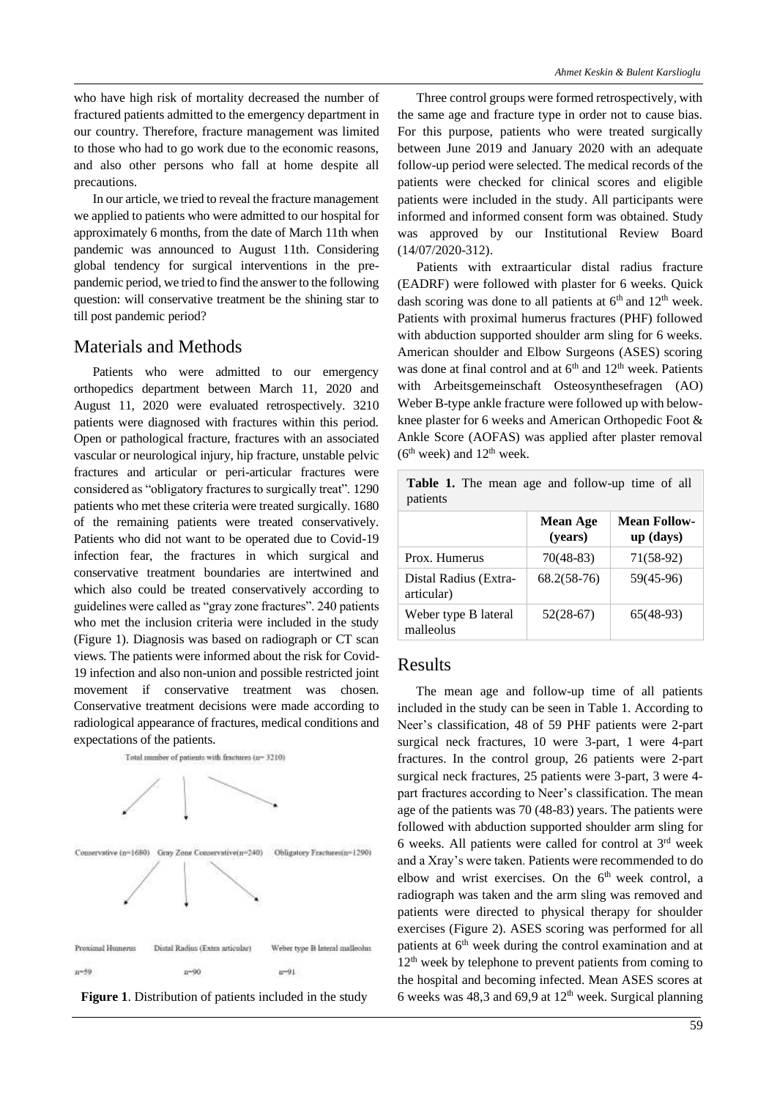who have high risk of mortality decreased the number of fractured patients admitted to the emergency department in our country. Therefore, fracture management was limited to those who had to go work due to the economic reasons, and also other persons who fall at home despite all precautions.

In our article, we tried to reveal the fracture management we applied to patients who were admitted to our hospital for approximately 6 months, from the date of March 11th when pandemic was announced to August 11th. Considering global tendency for surgical interventions in the prepandemic period, we tried to find the answer to the following question: will conservative treatment be the shining star to till post pandemic period?

#### Materials and Methods

Patients who were admitted to our emergency orthopedics department between March 11, 2020 and August 11, 2020 were evaluated retrospectively. 3210 patients were diagnosed with fractures within this period. Open or pathological fracture, fractures with an associated vascular or neurological injury, hip fracture, unstable pelvic fractures and articular or peri-articular fractures were considered as "obligatory fractures to surgically treat". 1290 patients who met these criteria were treated surgically. 1680 of the remaining patients were treated conservatively. Patients who did not want to be operated due to Covid-19 infection fear, the fractures in which surgical and conservative treatment boundaries are intertwined and which also could be treated conservatively according to guidelines were called as "gray zone fractures". 240 patients who met the inclusion criteria were included in the study (Figure 1). Diagnosis was based on radiograph or CT scan views. The patients were informed about the risk for Covid-19 infection and also non-union and possible restricted joint movement if conservative treatment was chosen. Conservative treatment decisions were made according to radiological appearance of fractures, medical conditions and expectations of the patients.





Three control groups were formed retrospectively, with the same age and fracture type in order not to cause bias. For this purpose, patients who were treated surgically between June 2019 and January 2020 with an adequate follow-up period were selected. The medical records of the patients were checked for clinical scores and eligible patients were included in the study. All participants were informed and informed consent form was obtained. Study was approved by our Institutional Review Board (14/07/2020-312).

Patients with extraarticular distal radius fracture (EADRF) were followed with plaster for 6 weeks. Quick dash scoring was done to all patients at  $6<sup>th</sup>$  and  $12<sup>th</sup>$  week. Patients with proximal humerus fractures (PHF) followed with abduction supported shoulder arm sling for 6 weeks. American shoulder and Elbow Surgeons (ASES) scoring was done at final control and at  $6<sup>th</sup>$  and  $12<sup>th</sup>$  week. Patients with Arbeitsgemeinschaft Osteosynthesefragen (AO) Weber B-type ankle fracture were followed up with belowknee plaster for 6 weeks and American Orthopedic Foot & Ankle Score (AOFAS) was applied after plaster removal  $(6<sup>th</sup> week)$  and  $12<sup>th</sup> week.$ 

**Table 1.** The mean age and follow-up time of all patients

|                                     | <b>Mean Age</b><br>(years) | <b>Mean Follow-</b><br>$up$ (days) |
|-------------------------------------|----------------------------|------------------------------------|
| Prox. Humerus                       | 70(48-83)                  | 71(58-92)                          |
| Distal Radius (Extra-<br>articular) | $68.2(58-76)$              | 59(45-96)                          |
| Weber type B lateral<br>malleolus   | $52(28-67)$                | $65(48-93)$                        |

#### Results

The mean age and follow-up time of all patients included in the study can be seen in Table 1. According to Neer's classification, 48 of 59 PHF patients were 2-part surgical neck fractures, 10 were 3-part, 1 were 4-part fractures. In the control group, 26 patients were 2-part surgical neck fractures, 25 patients were 3-part, 3 were 4 part fractures according to Neer's classification. The mean age of the patients was 70 (48-83) years. The patients were followed with abduction supported shoulder arm sling for 6 weeks. All patients were called for control at 3rd week and a Xray's were taken. Patients were recommended to do elbow and wrist exercises. On the  $6<sup>th</sup>$  week control, a radiograph was taken and the arm sling was removed and patients were directed to physical therapy for shoulder exercises (Figure 2). ASES scoring was performed for all patients at 6<sup>th</sup> week during the control examination and at  $12<sup>th</sup>$  week by telephone to prevent patients from coming to the hospital and becoming infected. Mean ASES scores at 6 weeks was 48,3 and 69,9 at  $12<sup>th</sup>$  week. Surgical planning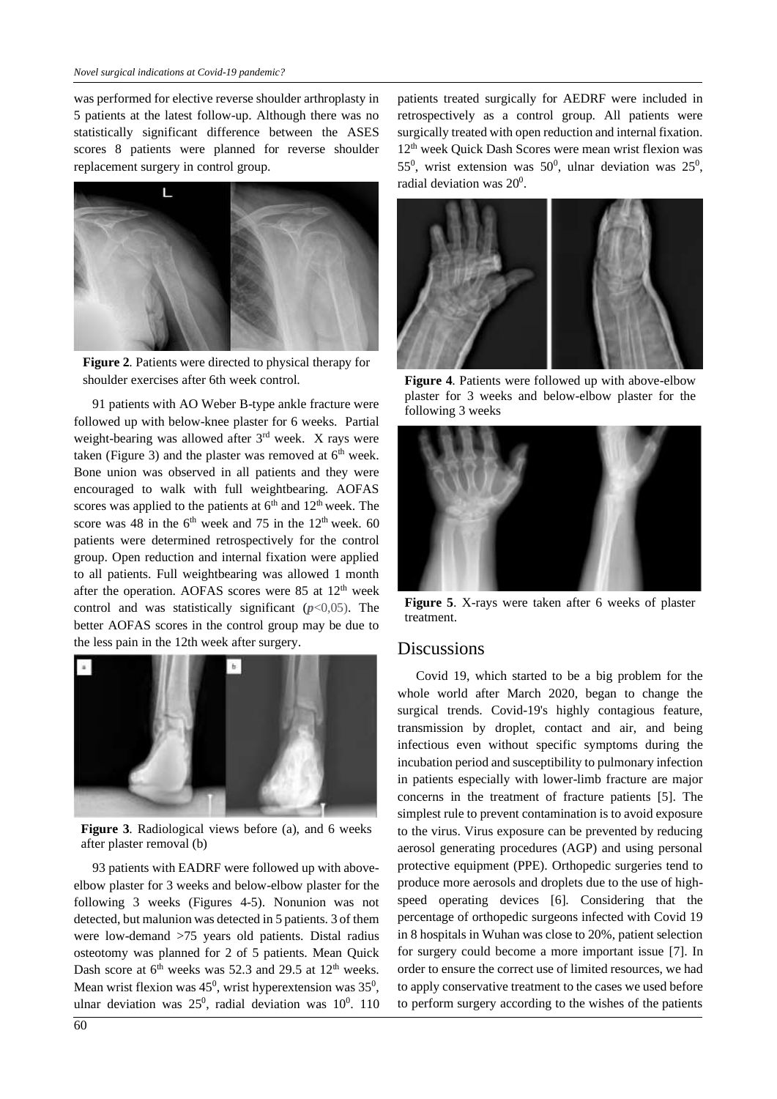was performed for elective reverse shoulder arthroplasty in 5 patients at the latest follow-up. Although there was no statistically significant difference between the ASES scores 8 patients were planned for reverse shoulder replacement surgery in control group.



**Figure 2**. Patients were directed to physical therapy for shoulder exercises after 6th week control.

91 patients with AO Weber B-type ankle fracture were followed up with below-knee plaster for 6 weeks. Partial weight-bearing was allowed after 3<sup>rd</sup> week. X rays were taken (Figure 3) and the plaster was removed at  $6<sup>th</sup>$  week. Bone union was observed in all patients and they were encouraged to walk with full weightbearing. AOFAS scores was applied to the patients at  $6<sup>th</sup>$  and  $12<sup>th</sup>$  week. The score was 48 in the  $6<sup>th</sup>$  week and 75 in the 12<sup>th</sup> week. 60 patients were determined retrospectively for the control group. Open reduction and internal fixation were applied to all patients. Full weightbearing was allowed 1 month after the operation. AOFAS scores were 85 at  $12<sup>th</sup>$  week control and was statistically significant  $(p<0.05)$ . The better AOFAS scores in the control group may be due to the less pain in the 12th week after surgery.



**Figure 3**. Radiological views before (a), and 6 weeks after plaster removal (b)

93 patients with EADRF were followed up with aboveelbow plaster for 3 weeks and below-elbow plaster for the following 3 weeks (Figures 4-5). Nonunion was not detected, but malunion was detected in 5 patients. 3 of them were low-demand >75 years old patients. Distal radius osteotomy was planned for 2 of 5 patients. Mean Quick Dash score at  $6<sup>th</sup>$  weeks was 52.3 and 29.5 at 12<sup>th</sup> weeks. Mean wrist flexion was  $45^{\circ}$ , wrist hyperextension was  $35^{\circ}$ , ulnar deviation was  $25^0$ , radial deviation was  $10^0$ . 110

patients treated surgically for AEDRF were included in retrospectively as a control group. All patients were surgically treated with open reduction and internal fixation. 12th week Quick Dash Scores were mean wrist flexion was 55<sup>0</sup>, wrist extension was 50<sup>0</sup>, ulnar deviation was 25<sup>0</sup>, radial deviation was  $20^0$ .



**Figure 4**. Patients were followed up with above-elbow plaster for 3 weeks and below-elbow plaster for the following 3 weeks



**Figure 5**. X-rays were taken after 6 weeks of plaster treatment.

#### **Discussions**

Covid 19, which started to be a big problem for the whole world after March 2020, began to change the surgical trends. Covid-19's highly contagious feature, transmission by droplet, contact and air, and being infectious even without specific symptoms during the incubation period and susceptibility to pulmonary infection in patients especially with lower-limb fracture are major concerns in the treatment of fracture patients [5]. The simplest rule to prevent contamination is to avoid exposure to the virus. Virus exposure can be prevented by reducing aerosol generating procedures (AGP) and using personal protective equipment (PPE). Orthopedic surgeries tend to produce more aerosols and droplets due to the use of highspeed operating devices [6]. Considering that the percentage of orthopedic surgeons infected with Covid 19 in 8 hospitals in Wuhan was close to 20%, patient selection for surgery could become a more important issue [7]. In order to ensure the correct use of limited resources, we had to apply conservative treatment to the cases we used before to perform surgery according to the wishes of the patients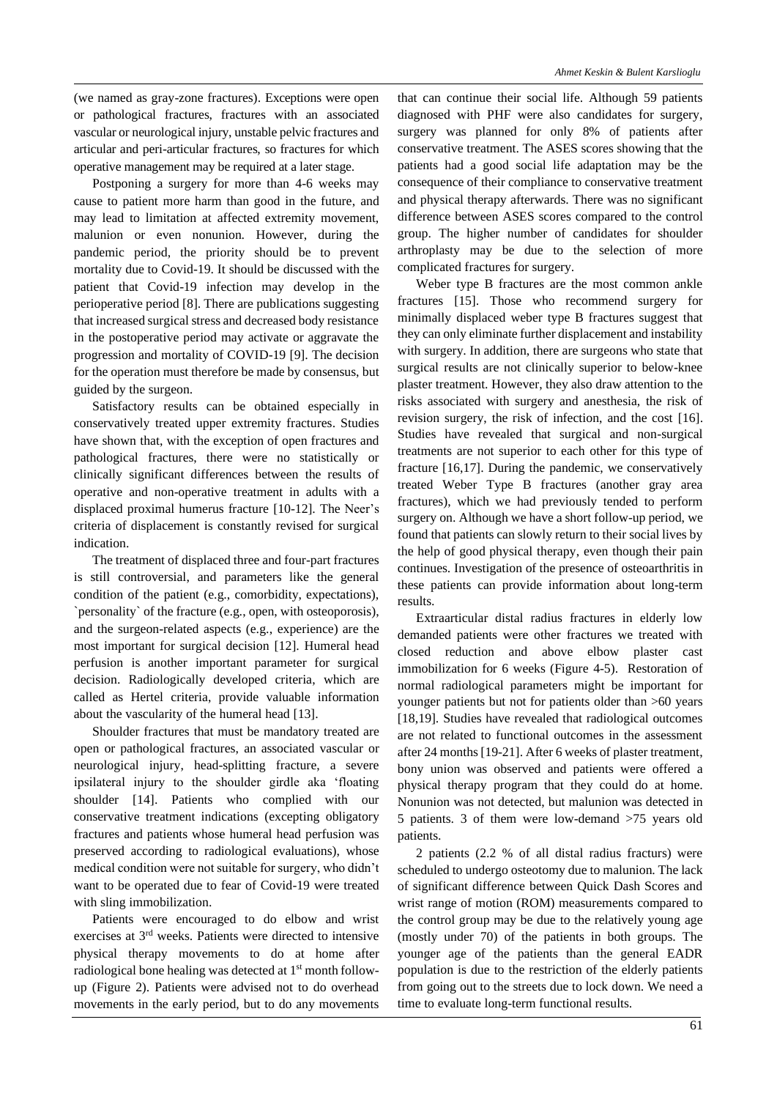(we named as gray-zone fractures). Exceptions were open or pathological fractures, fractures with an associated vascular or neurological injury, unstable pelvic fractures and articular and peri-articular fractures, so fractures for which operative management may be required at a later stage.

Postponing a surgery for more than 4-6 weeks may cause to patient more harm than good in the future, and may lead to limitation at affected extremity movement, malunion or even nonunion. However, during the pandemic period, the priority should be to prevent mortality due to Covid-19. It should be discussed with the patient that Covid-19 infection may develop in the perioperative period [8]. There are publications suggesting that increased surgical stress and decreased body resistance in the postoperative period may activate or aggravate the progression and mortality of COVID-19 [9]. The decision for the operation must therefore be made by consensus, but guided by the surgeon.

Satisfactory results can be obtained especially in conservatively treated upper extremity fractures. Studies have shown that, with the exception of open fractures and pathological fractures, there were no statistically or clinically significant differences between the results of operative and non-operative treatment in adults with a displaced proximal humerus fracture [10-12]. The Neer's criteria of displacement is constantly revised for surgical indication.

The treatment of displaced three and four-part fractures is still controversial, and parameters like the general condition of the patient (e.g., comorbidity, expectations), `personality` of the fracture (e.g., open, with osteoporosis), and the surgeon-related aspects (e.g., experience) are the most important for surgical decision [12]. Humeral head perfusion is another important parameter for surgical decision. Radiologically developed criteria, which are called as Hertel criteria, provide valuable information about the vascularity of the humeral head [13].

Shoulder fractures that must be mandatory treated are open or pathological fractures, an associated vascular or neurological injury, head-splitting fracture, a severe ipsilateral injury to the shoulder girdle aka 'floating shoulder [14]. Patients who complied with our conservative treatment indications (excepting obligatory fractures and patients whose humeral head perfusion was preserved according to radiological evaluations), whose medical condition were not suitable for surgery, who didn't want to be operated due to fear of Covid-19 were treated with sling immobilization.

Patients were encouraged to do elbow and wrist exercises at 3rd weeks. Patients were directed to intensive physical therapy movements to do at home after radiological bone healing was detected at 1<sup>st</sup> month followup (Figure 2). Patients were advised not to do overhead movements in the early period, but to do any movements

that can continue their social life. Although 59 patients diagnosed with PHF were also candidates for surgery, surgery was planned for only 8% of patients after conservative treatment. The ASES scores showing that the patients had a good social life adaptation may be the consequence of their compliance to conservative treatment and physical therapy afterwards. There was no significant difference between ASES scores compared to the control group. The higher number of candidates for shoulder arthroplasty may be due to the selection of more complicated fractures for surgery.

Weber type B fractures are the most common ankle fractures [15]. Those who recommend surgery for minimally displaced weber type B fractures suggest that they can only eliminate further displacement and instability with surgery. In addition, there are surgeons who state that surgical results are not clinically superior to below-knee plaster treatment. However, they also draw attention to the risks associated with surgery and anesthesia, the risk of revision surgery, the risk of infection, and the cost [16]. Studies have revealed that surgical and non-surgical treatments are not superior to each other for this type of fracture [16,17]. During the pandemic, we conservatively treated Weber Type B fractures (another gray area fractures), which we had previously tended to perform surgery on. Although we have a short follow-up period, we found that patients can slowly return to their social lives by the help of good physical therapy, even though their pain continues. Investigation of the presence of osteoarthritis in these patients can provide information about long-term results.

Extraarticular distal radius fractures in elderly low demanded patients were other fractures we treated with closed reduction and above elbow plaster cast immobilization for 6 weeks (Figure 4-5). Restoration of normal radiological parameters might be important for younger patients but not for patients older than >60 years [18,19]. Studies have revealed that radiological outcomes are not related to functional outcomes in the assessment after 24 months[19-21]. After 6 weeks of plaster treatment, bony union was observed and patients were offered a physical therapy program that they could do at home. Nonunion was not detected, but malunion was detected in 5 patients. 3 of them were low-demand >75 years old patients.

2 patients (2.2 % of all distal radius fracturs) were scheduled to undergo osteotomy due to malunion. The lack of significant difference between Quick Dash Scores and wrist range of motion (ROM) measurements compared to the control group may be due to the relatively young age (mostly under 70) of the patients in both groups. The younger age of the patients than the general EADR population is due to the restriction of the elderly patients from going out to the streets due to lock down. We need a time to evaluate long-term functional results.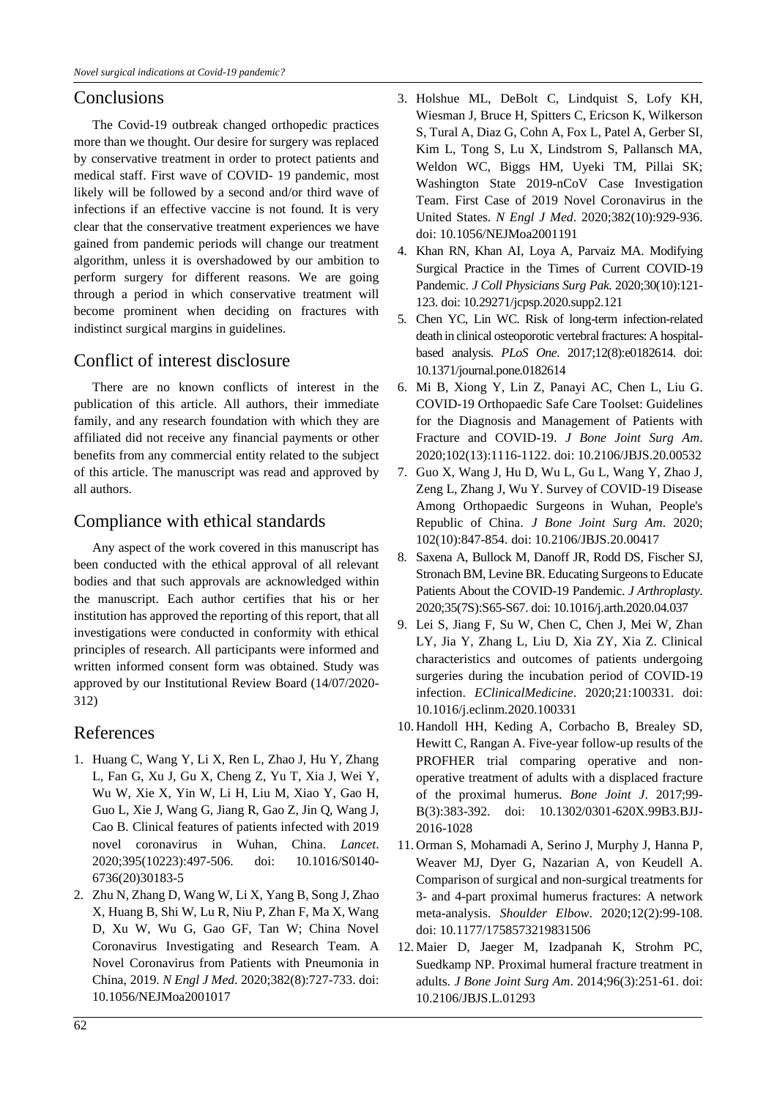#### **Conclusions**

The Covid-19 outbreak changed orthopedic practices more than we thought. Our desire for surgery was replaced by conservative treatment in order to protect patients and medical staff. First wave of COVID- 19 pandemic, most likely will be followed by a second and/or third wave of infections if an effective vaccine is not found. It is very clear that the conservative treatment experiences we have gained from pandemic periods will change our treatment algorithm, unless it is overshadowed by our ambition to perform surgery for different reasons. We are going through a period in which conservative treatment will become prominent when deciding on fractures with indistinct surgical margins in guidelines.

### Conflict of interest disclosure

There are no known conflicts of interest in the publication of this article. All authors, their immediate family, and any research foundation with which they are affiliated did not receive any financial payments or other benefits from any commercial entity related to the subject of this article. The manuscript was read and approved by all authors.

#### Compliance with ethical standards

Any aspect of the work covered in this manuscript has been conducted with the ethical approval of all relevant bodies and that such approvals are acknowledged within the manuscript. Each author certifies that his or her institution has approved the reporting of this report, that all investigations were conducted in conformity with ethical principles of research. All participants were informed and written informed consent form was obtained. Study was approved by our Institutional Review Board (14/07/2020- 312)

#### References

- 1. Huang C, Wang Y, Li X, Ren L, Zhao J, Hu Y, Zhang L, Fan G, Xu J, Gu X, Cheng Z, Yu T, Xia J, Wei Y, Wu W, Xie X, Yin W, Li H, Liu M, Xiao Y, Gao H, Guo L, Xie J, Wang G, Jiang R, Gao Z, Jin Q, Wang J, Cao B. Clinical features of patients infected with 2019 novel coronavirus in Wuhan, China. *Lancet*. 2020;395(10223):497-506. doi: 10.1016/S0140- 6736(20)30183-5
- 2. Zhu N, Zhang D, Wang W, Li X, Yang B, Song J, Zhao X, Huang B, Shi W, Lu R, Niu P, Zhan F, Ma X, Wang D, Xu W, Wu G, Gao GF, Tan W; China Novel Coronavirus Investigating and Research Team. A Novel Coronavirus from Patients with Pneumonia in China, 2019. *N Engl J Med*. 2020;382(8):727-733. doi: 10.1056/NEJMoa2001017
- 3. Holshue ML, DeBolt C, Lindquist S, Lofy KH, Wiesman J, Bruce H, Spitters C, Ericson K, Wilkerson S, Tural A, Diaz G, Cohn A, Fox L, Patel A, Gerber SI, Kim L, Tong S, Lu X, Lindstrom S, Pallansch MA, Weldon WC, Biggs HM, Uyeki TM, Pillai SK; Washington State 2019-nCoV Case Investigation Team. First Case of 2019 Novel Coronavirus in the United States. *N Engl J Med*. 2020;382(10):929-936. doi: 10.1056/NEJMoa2001191
- 4. Khan RN, Khan AI, Loya A, Parvaiz MA. Modifying Surgical Practice in the Times of Current COVID-19 Pandemic. *J Coll Physicians Surg Pak*. 2020;30(10):121- 123. doi: 10.29271/jcpsp.2020.supp2.121
- 5. Chen YC, Lin WC. Risk of long-term infection-related death in clinical osteoporotic vertebral fractures: A hospitalbased analysis. *PLoS One*. 2017;12(8):e0182614. doi: 10.1371/journal.pone.0182614
- 6. Mi B, Xiong Y, Lin Z, Panayi AC, Chen L, Liu G. COVID-19 Orthopaedic Safe Care Toolset: Guidelines for the Diagnosis and Management of Patients with Fracture and COVID-19. *J Bone Joint Surg Am*. 2020;102(13):1116-1122. doi: 10.2106/JBJS.20.00532
- 7. Guo X, Wang J, Hu D, Wu L, Gu L, Wang Y, Zhao J, Zeng L, Zhang J, Wu Y. Survey of COVID-19 Disease Among Orthopaedic Surgeons in Wuhan, People's Republic of China. *J Bone Joint Surg Am*. 2020; 102(10):847-854. doi: 10.2106/JBJS.20.00417
- 8. Saxena A, Bullock M, Danoff JR, Rodd DS, Fischer SJ, Stronach BM, Levine BR. Educating Surgeons to Educate Patients About the COVID-19 Pandemic. *J Arthroplasty*. 2020;35(7S):S65-S67. doi: 10.1016/j.arth.2020.04.037
- 9. Lei S, Jiang F, Su W, Chen C, Chen J, Mei W, Zhan LY, Jia Y, Zhang L, Liu D, Xia ZY, Xia Z. Clinical characteristics and outcomes of patients undergoing surgeries during the incubation period of COVID-19 infection. *EClinicalMedicine*. 2020;21:100331. doi: 10.1016/j.eclinm.2020.100331
- 10. Handoll HH, Keding A, Corbacho B, Brealey SD, Hewitt C, Rangan A. Five-year follow-up results of the PROFHER trial comparing operative and nonoperative treatment of adults with a displaced fracture of the proximal humerus. *Bone Joint J*. 2017;99- B(3):383-392. doi: 10.1302/0301-620X.99B3.BJJ-2016-1028
- 11. Orman S, Mohamadi A, Serino J, Murphy J, Hanna P, Weaver MJ, Dyer G, Nazarian A, von Keudell A. Comparison of surgical and non-surgical treatments for 3- and 4-part proximal humerus fractures: A network meta-analysis. *Shoulder Elbow*. 2020;12(2):99-108. doi: 10.1177/1758573219831506
- 12. Maier D, Jaeger M, Izadpanah K, Strohm PC, Suedkamp NP. Proximal humeral fracture treatment in adults. *J Bone Joint Surg Am*. 2014;96(3):251-61. doi: 10.2106/JBJS.L.01293